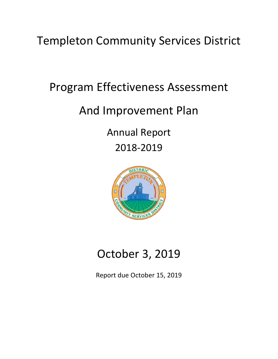Templeton Community Services District

# Program Effectiveness Assessment

# And Improvement Plan

Annual Report 2018-2019



# October 3, 2019

Report due October 15, 2019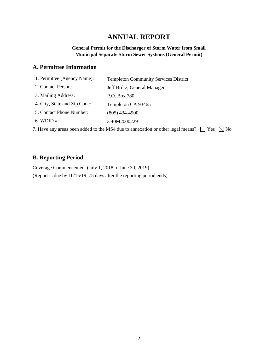# **ANNUAL REPORT**

#### **General Permit for the Discharger of Storm Water from Small Municipal Separate Storm Sewer Systems (General Permit)**

## **A. Permittee Information**

| 1. Permittee (Agency Name):  | <b>Templeton Community Services District</b>                                                   |
|------------------------------|------------------------------------------------------------------------------------------------|
| 2. Contact Person:           | Jeff Briltz, General Manager                                                                   |
| 3. Mailing Address:          | P.O. Box 780                                                                                   |
| 4. City, State and Zip Code: | Templeton CA 93465                                                                             |
| 5. Contact Phone Number:     | $(805)$ 434-4900                                                                               |
| $6.$ WDID $#$                | 340M2000229                                                                                    |
|                              | Yes<br>√ No<br>7. Have any areas been added to the MS4 due to annexation or other legal means? |

## **B. Reporting Period**

Coverage Commencement (July 1, 2018 to June 30, 2019) (Report is due by 10/15/19, 75 days after the reporting period ends)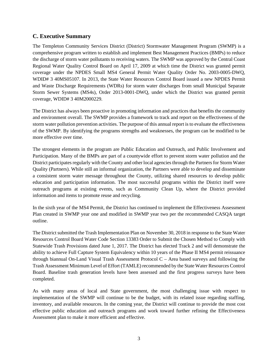### **C. Executive Summary**

The Templeton Community Services District (District) Stormwater Management Program (SWMP) is a comprehensive program written to establish and implement Best Management Practices (BMPs) to reduce the discharge of storm water pollutants to receiving waters. The SWMP was approved by the Central Coast Regional Water Quality Control Board on April 17, 2009 at which time the District was granted permit coverage under the NPDES Small MS4 General Permit Water Quality Order No. 2003-0005-DWQ, WDID# 3 40MS05107. In 2013, the State Water Resources Control Board issued a new NPDES Permit and Waste Discharge Requirements (WDRs) for storm water discharges from small Municipal Separate Storm Sewer Systems (MS4s), Order 2013-0001-DWQ, under which the District was granted permit coverage, WDID# 3 40M2000229.

The District has always been proactive in promoting information and practices that benefits the community and environment overall. The SWMP provides a framework to track and report on the effectiveness of the storm water pollution prevention activities. The purpose of this annual report is to evaluate the effectiveness of the SWMP. By identifying the programs strengths and weaknesses, the program can be modified to be more effective over time.

The strongest elements in the program are Public Education and Outreach, and Public Involvement and Participation. Many of the BMPs are part of a countywide effort to prevent storm water pollution and the District participates regularly with the County and other local agencies through the Partners for Storm Water Quality (Partners). While still an informal organization, the Partners were able to develop and disseminate a consistent storm water message throughout the County, utilizing shared resources to develop public education and participation information. The most successful programs within the District itself were outreach programs at existing events, such as Community Clean Up, where the District provided information and items to promote reuse and recycling.

In the sixth year of the MS4 Permit, the District has continued to implement the Effectiveness Assessment Plan created in SWMP year one and modified in SWMP year two per the recommended CASQA target outline.

The District submitted the Trash Implementation Plan on November 30, 2018 in response to the State Water Resources Control Board Water Code Section 13383 Order to Submit the Chosen Method to Comply with Statewide Trash Provisions dated June 1, 2017. The District has elected Track 2 and will demonstrate the ability to achieve Full Capture System Equivalency within 10 years of the Phase II MS4 permit reissuance through biannual On-Land Visual Trash Assessment Protocol C – Area based surveys and following the Trash Assessment Minimum Level of Effort (TAMLE) recommended by the State Water Resources Control Board. Baseline trash generation levels have been assessed and the first progress surveys have been completed.

As with many areas of local and State government, the most challenging issue with respect to implementation of the SWMP will continue to be the budget, with its related issue regarding staffing, inventory, and available resources. In the coming year, the District will continue to provide the most cost effective public education and outreach programs and work toward further refining the Effectiveness Assessment plan to make it more efficient and effective.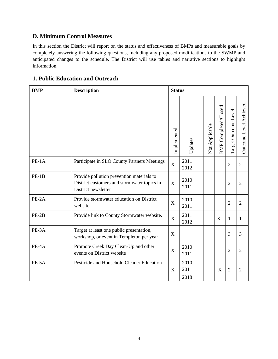## **D. Minimum Control Measures**

In this section the District will report on the status and effectiveness of BMPs and measurable goals by completely answering the following questions, including any proposed modifications to the SWMP and anticipated changes to the schedule. The District will use tables and narrative sections to highlight information.

## **1. Public Education and Outreach**

| <b>BMP</b> | <b>Description</b>                                                                                              | <b>Status</b> |                      |                |                             |                      |                        |
|------------|-----------------------------------------------------------------------------------------------------------------|---------------|----------------------|----------------|-----------------------------|----------------------|------------------------|
|            |                                                                                                                 | Implemented   | Updates              | Not Applicable | <b>BMP</b> Completed/Closed | Target Outcome Level | Outcome Level Achieved |
| $PE-1A$    | Participate in SLO County Partners Meetings                                                                     | $\mathbf X$   | 2011<br>2012         |                |                             | $\overline{2}$       | $\mathfrak{2}$         |
| $PE-1B$    | Provide pollution prevention materials to<br>District customers and stormwater topics in<br>District newsletter | X             | 2010<br>2011         |                |                             | $\sqrt{2}$           | $\overline{2}$         |
| $PE-2A$    | Provide stormwater education on District<br>website                                                             | X             | 2010<br>2011         |                |                             | $\overline{2}$       | $\overline{2}$         |
| $PE-2B$    | Provide link to County Stormwater website.                                                                      | $\mathbf X$   | 2011<br>2012         |                | X                           | $\mathbf{1}$         | 1                      |
| PE-3A      | Target at least one public presentation,<br>workshop, or event in Templeton per year                            | X             |                      |                |                             | 3                    | 3                      |
| PE-4A      | Promote Creek Day Clean-Up and other<br>events on District website                                              | X             | 2010<br>2011         |                |                             | $\overline{2}$       | $\overline{2}$         |
| PE-5A      | Pesticide and Household Cleaner Education                                                                       | X             | 2010<br>2011<br>2018 |                | X                           | $\overline{2}$       | $\overline{2}$         |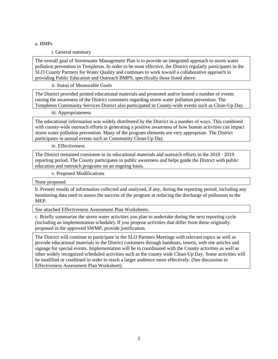i. General summary

The overall goal of Stormwater Management Plan is to provide an integrated approach to storm water pollution prevention in Templeton. In order to be most effective, the District regularly participates in the SLO County Partners for Water Quality and continues to work toward a collaborative approach in providing Public Education and Outreach BMPS, specifically those listed above.

ii. Status of Measurable Goals

The District provided printed educational materials and promoted and/or hosted a number of events raising the awareness of the District customers regarding storm water pollution prevention. The Templeton Community Services District also participated in County-wide events such as Clean-Up Day.

iii. Appropriateness

The educational information was widely distributed by the District in a number of ways. This combined with county-wide outreach efforts is generating a positive awareness of how human activities can impact storm water pollution prevention. Many of the program elements are very appropriate. The District participates in annual events such as Community Clean-Up Day.

iv. Effectiveness

The District remained consistent in its educational materials and outreach efforts in the 2018 - 2019 reporting period. The County participates in public awareness and helps guide the District with public education and outreach programs on an ongoing basis.

v. Proposed Modifications

None proposed

b. Present results of information collected and analyzed, if any, during the reporting period, including any monitoring data used to assess the success of the program at reducing the discharge of pollutants to the MEP.

See attached Effectiveness Assessment Plan Worksheets.

c. Briefly summarize the storm water activities you plan to undertake during the next reporting cycle (including an implementation schedule). If you propose activities that differ from those originally proposed in the approved SWMP, provide justification.

The District will continue to participate in the SLO Partners Meetings with relevant topics as well as provide educational materials to the District customers through handouts, inserts, web site articles and signage for special events. Implementation will be in coordinated with the County activities as well as other widely recognized scheduled activities such as the county wide Clean-Up Day. Some activities will be modified or combined in order to reach a larger audience more effectively. (See discussion in Effectiveness Assessment Plan Worksheet).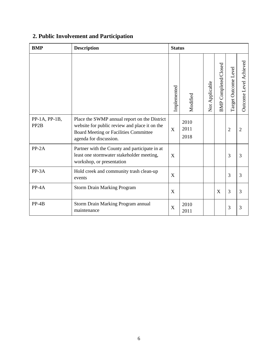# **2. Public Involvement and Participation**

| <b>BMP</b>                           | <b>Description</b>                                                                                                                                               | <b>Status</b> |                      |                |                                |                         |                        |
|--------------------------------------|------------------------------------------------------------------------------------------------------------------------------------------------------------------|---------------|----------------------|----------------|--------------------------------|-------------------------|------------------------|
|                                      |                                                                                                                                                                  | Implemented   | Modified             | Not Applicable | Completed/Closed<br><b>BMP</b> | Level<br>Target Outcome | Outcome Level Achieved |
| $PP-1A, PP-1B,$<br>PP <sub>2</sub> B | Place the SWMP annual report on the District<br>website for public review and place it on the<br>Board Meeting or Facilities Committee<br>agenda for discussion. | X             | 2010<br>2011<br>2018 |                |                                | $\overline{2}$          | $\overline{2}$         |
| $PP-2A$                              | Partner with the County and participate in at<br>least one stormwater stakeholder meeting,<br>workshop, or presentation                                          | X             |                      |                |                                | 3                       | $\overline{3}$         |
| PP-3A                                | Hold creek and community trash clean-up<br>events                                                                                                                | X             |                      |                |                                | 3                       | 3                      |
| $PP-4A$                              | <b>Storm Drain Marking Program</b>                                                                                                                               | X             |                      |                | X                              | $\overline{3}$          | $\overline{3}$         |
| $PP-4B$                              | Storm Drain Marking Program annual<br>maintenance                                                                                                                | X             | 2010<br>2011         |                |                                | 3                       | 3                      |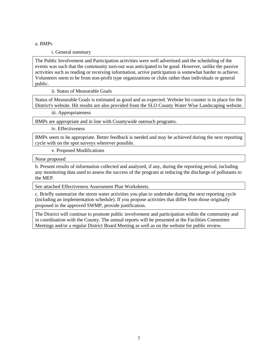i. General summary

The Public Involvement and Participation activities were well advertised and the scheduling of the events was such that the community turn-out was anticipated to be good. However, unlike the passive activities such as reading or receiving information, active participation is somewhat harder to achieve. Volunteers seem to be from non-profit type organizations or clubs rather than individuals or general public.

ii. Status of Measurable Goals

Status of Measurable Goals is estimated as good and as expected. Website hit counter is in place for the District's website. Hit results are also provided from the SLO County Water Wise Landscaping website.

iii. Appropriateness

BMPs are appropriate and in line with Countywide outreach programs.

iv. Effectiveness

BMPs seem to be appropriate. Better feedback is needed and may be achieved during the next reporting cycle with on the spot surveys wherever possible.

v. Proposed Modifications

None proposed

b. Present results of information collected and analyzed, if any, during the reporting period, including any monitoring data used to assess the success of the program at reducing the discharge of pollutants to the MEP.

See attached Effectiveness Assessment Plan Worksheets.

c. Briefly summarize the storm water activities you plan to undertake during the next reporting cycle (including an implementation schedule). If you propose activities that differ from those originally proposed in the approved SWMP, provide justification.

The District will continue to promote public involvement and participation within the community and in coordination with the County. The annual reports will be presented at the Facilities Committee Meetings and/or a regular District Board Meeting as well as on the website for public review.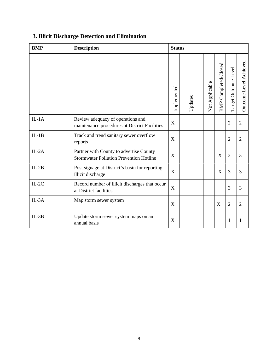| <b>BMP</b> | <b>Description</b>                                                                        | <b>Status</b> |         |                |                             |                      |                        |
|------------|-------------------------------------------------------------------------------------------|---------------|---------|----------------|-----------------------------|----------------------|------------------------|
|            |                                                                                           | Implemented   | Updates | Not Applicable | <b>BMP</b> Completed/Closed | Target Outcome Level | Outcome Level Achieved |
| $IL-1A$    | Review adequacy of operations and<br>maintenance procedures at District Facilities        | X             |         |                |                             | $\overline{2}$       | $\overline{2}$         |
| $IL-1B$    | Track and trend sanitary sewer overflow<br>reports                                        | X             |         |                |                             | $\overline{2}$       | $\overline{2}$         |
| $IL-2A$    | Partner with County to advertise County<br><b>Stormwater Pollution Prevention Hotline</b> | X             |         |                | X                           | 3                    | 3                      |
| $IL-2B$    | Post signage at District's basin for reporting<br>illicit discharge                       | X             |         |                | X                           | 3                    | 3                      |
| $IL-2C$    | Record number of illicit discharges that occur<br>at District facilities                  | X             |         |                |                             | 3                    | 3                      |
| $IL-3A$    | Map storm sewer system                                                                    | X             |         |                | X                           | $\overline{2}$       | $\overline{2}$         |
| $IL-3B$    | Update storm sewer system maps on an<br>annual basis                                      | X             |         |                |                             | $\mathbf{1}$         | 1                      |

# **3. Illicit Discharge Detection and Elimination**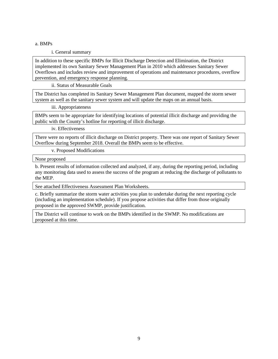i. General summary

In addition to these specific BMPs for Illicit Discharge Detection and Elimination, the District implemented its own Sanitary Sewer Management Plan in 2010 which addresses Sanitary Sewer Overflows and includes review and improvement of operations and maintenance procedures, overflow prevention, and emergency response planning.

ii. Status of Measurable Goals

The District has completed its Sanitary Sewer Management Plan document, mapped the storm sewer system as well as the sanitary sewer system and will update the maps on an annual basis.

iii. Appropriateness

BMPs seem to be appropriate for identifying locations of potential illicit discharge and providing the public with the County's hotline for reporting of illicit discharge.

iv. Effectiveness

There were no reports of illicit discharge on District property. There was one report of Sanitary Sewer Overflow during September 2018. Overall the BMPs seem to be effective.

v. Proposed Modifications

None proposed

b. Present results of information collected and analyzed, if any, during the reporting period, including any monitoring data used to assess the success of the program at reducing the discharge of pollutants to the MEP.

See attached Effectiveness Assessment Plan Worksheets.

c. Briefly summarize the storm water activities you plan to undertake during the next reporting cycle (including an implementation schedule). If you propose activities that differ from those originally proposed in the approved SWMP, provide justification.

The District will continue to work on the BMPs identified in the SWMP. No modifications are proposed at this time.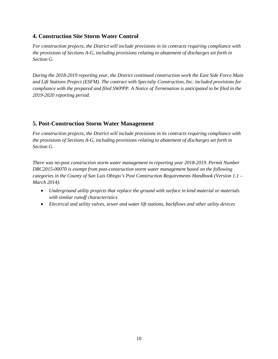## **4. Construction Site Storm Water Control**

*For construction projects, the District will include provisions in its contracts requiring compliance with the provisions of Sections A-G, including provisions relating to abatement of discharges set forth in Section G.* 

*During the 2018-2019 reporting year, the District continued construction work the East Side Force Main and Lift Stations Project (ESFM). The contract with Specialty Construction, Inc. included provisions for compliance with the prepared and filed SWPPP. A Notice of Termination is anticipated to be filed in the 2019-2020 reporting period.*

## **5. Post-Construction Storm Water Management**

*For construction projects, the District will include provisions in its contracts requiring compliance with the provisions of Sections A-G, including provisions relating to abatement of discharges set forth in Section G.* 

*There was no-post construction storm water management in reporting year 2018-2019. Permit Number DRC2015-00070 is exempt from post-construction storm water management based on the following categories in the County of San Luis Obispo's Post Construction Requirements Handbook (Version 1.1 – March 2014):*

- *Underground utility projects that replace the ground with surface in kind material or materials with similar runoff characteristics*
- *Electrical and utility valves, sewer and water lift stations, backflows and other utility devices*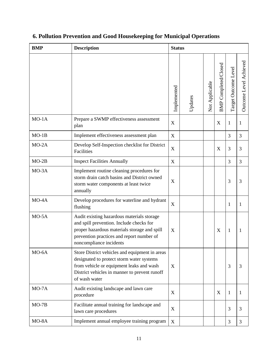| <b>BMP</b> | <b>Description</b>                                                                                                                                                                                             | <b>Status</b> |         |                |                                |                      |                        |
|------------|----------------------------------------------------------------------------------------------------------------------------------------------------------------------------------------------------------------|---------------|---------|----------------|--------------------------------|----------------------|------------------------|
|            |                                                                                                                                                                                                                | Implemented   | Updates | Not Applicable | Completed/Closed<br><b>BMP</b> | Target Outcome Level | Outcome Level Achieved |
| $MO-1A$    | Prepare a SWMP effectiveness assessment<br>plan                                                                                                                                                                | X             |         |                | X                              | $\mathbf{1}$         | 1                      |
| $MO-1B$    | Implement effectiveness assessment plan                                                                                                                                                                        | X             |         |                |                                | 3                    | 3                      |
| $MO-2A$    | Develop Self-Inspection checklist for District<br>Facilities                                                                                                                                                   | X             |         |                | X                              | 3                    | 3                      |
| $MO-2B$    | <b>Inspect Facilities Annually</b>                                                                                                                                                                             | X             |         |                |                                | 3                    | 3                      |
| MO-3A      | Implement routine cleaning procedures for<br>storm drain catch basins and District owned<br>storm water components at least twice<br>annually                                                                  | X             |         |                |                                | 3                    | 3                      |
| $MO-4A$    | Develop procedures for waterline and hydrant<br>flushing                                                                                                                                                       | X             |         |                |                                | 1                    | 1                      |
| $MO-5A$    | Audit existing hazardous materials storage<br>and spill prevention. Include checks for<br>proper hazardous materials storage and spill<br>prevention practices and report number of<br>noncompliance incidents | X             |         |                | X                              | $\mathbf{1}$         | 1                      |
| MO-6A      | Store District vehicles and equipment in areas<br>designated to protect storm water systems<br>from vehicle or equipment leaks and wash<br>District vehicles in manner to prevent runoff<br>of wash water      | X             |         |                |                                | 3                    | 3                      |
| $MO-7A$    | Audit existing landscape and lawn care<br>procedure                                                                                                                                                            | X             |         |                | X                              | $\mathbf{1}$         | 1                      |
| $MO-7B$    | Facilitate annual training for landscape and<br>lawn care procedures                                                                                                                                           | X             |         |                |                                | 3                    | 3                      |
| MO-8A      | Implement annual employee training program                                                                                                                                                                     | X             |         |                |                                | 3                    | 3                      |

# **6. Pollution Prevention and Good Housekeeping for Municipal Operations**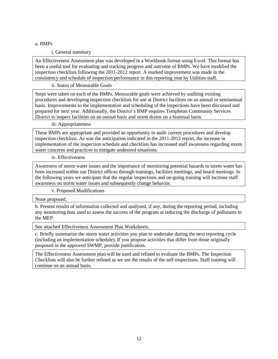#### i. General summary

An Effectiveness Assessment plan was developed in a Workbook format using Excel. This format has been a useful tool for evaluating and tracking progress and outcome of BMPs. We have modified the inspection checklists following the 2011-2012 report. A marked improvement was made in the consistency and schedule of inspection performance in this reporting year by Utilities staff.

ii. Status of Measurable Goals

Steps were taken on each of the BMPs. Measurable goals were achieved by auditing existing procedures and developing inspection checklists for use at District facilities on an annual or semiannual basis. Improvements to the implementation and scheduling of the inspections have been discussed and prepared for next year. Additionally, the District's BMP requires Templeton Community Services District to inspect facilities on an annual basis and storm drains on a biannual basis.

iii. Appropriateness

These BMPs are appropriate and provided an opportunity to audit current procedures and develop inspection checklists. As was the anticipation indicated in the 2011-2012 report, the increase in implementation of the inspection schedule and checklists has increased staff awareness regarding storm water concerns and practices to mitigate undesired situations.

iv. Effectiveness

Awareness of storm water issues and the importance of monitoring potential hazards to storm water has been increased within our District offices through trainings, facilities meetings, and board meetings. In the following years we anticipate that the regular inspections and on-going training will increase staff awareness on storm water issues and subsequently change behavior.

v. Proposed Modifications

None proposed.

b. Present results of information collected and analyzed, if any, during the reporting period, including any monitoring data used to assess the success of the program at reducing the discharge of pollutants to the MEP.

See attached Effectiveness Assessment Plan Worksheets.

c. Briefly summarize the storm water activities you plan to undertake during the next reporting cycle (including an implementation schedule). If you propose activities that differ from those originally proposed in the approved SWMP, provide justification.

The Effectiveness Assessment plan will be used and refined to evaluate the BMPs. The Inspection Checklists will also be further refined as we see the results of the self-inspections. Staff training will continue on an annual basis.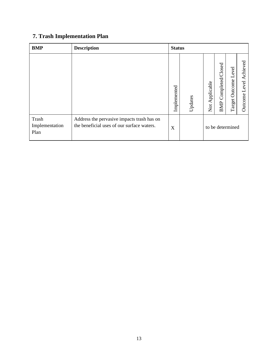# **7. Trash Implementation Plan**

| <b>BMP</b>                             | <b>Description</b>                                                                       | <b>Status</b> |         |                                     |                                |                                |                              |
|----------------------------------------|------------------------------------------------------------------------------------------|---------------|---------|-------------------------------------|--------------------------------|--------------------------------|------------------------------|
|                                        |                                                                                          | Implemented   | Updates | Applicable<br>$\overline{\text{2}}$ | Completed/Closed<br><b>BMP</b> | evel<br>⊢<br>Outcome<br>Target | Achieved<br>Level<br>Outcome |
| <b>Trash</b><br>Implementation<br>Plan | Address the pervasive impacts trash has on<br>the beneficial uses of our surface waters. | X             |         |                                     |                                | to be determined               |                              |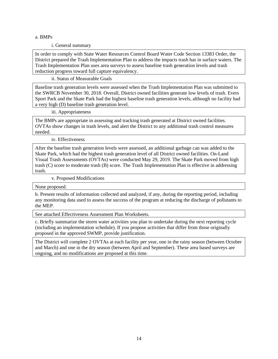#### i. General summary

In order to comply with State Water Resources Control Board Water Code Section 13383 Order, the District prepared the Trash Implementation Plan to address the impacts trash has in surface waters. The Trash Implementation Plan uses area surveys to assess baseline trash generation levels and trash reduction progress toward full capture equivalency.

ii. Status of Measurable Goals

Baseline trash generation levels were assessed when the Trash Implementation Plan was submitted to the SWRCB November 30, 2018. Overall, District owned facilities generate low levels of trash. Evers Sport Park and the Skate Park had the highest baseline trash generation levels, although no facility had a very high (D) baseline trash generation level.

iii. Appropriateness

The BMPs are appropriate in assessing and tracking trash generated at District owned facilities. OVTAs show changes in trash levels, and alert the District to any additional trash control measures needed.

iv. Effectiveness

After the baseline trash generation levels were assessed, an additional garbage can was added to the Skate Park, which had the highest trash generation level of all District owned facilities. On-Land Visual Trash Assessments (OVTAs) were conducted May 29, 2019. The Skate Park moved from high trash (C) score to moderate trash (B) score. The Trash Implementation Plan is effective in addressing trash.

v. Proposed Modifications

None proposed.

b. Present results of information collected and analyzed, if any, during the reporting period, including any monitoring data used to assess the success of the program at reducing the discharge of pollutants to the MEP.

See attached Effectiveness Assessment Plan Worksheets.

c. Briefly summarize the storm water activities you plan to undertake during the next reporting cycle (including an implementation schedule). If you propose activities that differ from those originally proposed in the approved SWMP, provide justification.

The District will complete 2 OVTAs at each facility per year, one in the rainy season (between October and March) and one in the dry season (between April and September). These area based surveys are ongoing, and no modifications are proposed at this time.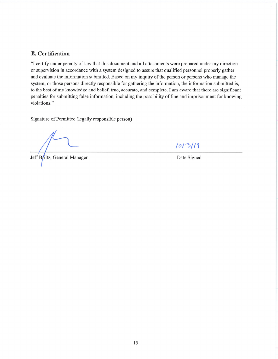### **E.** Certification

"I certify under penalty of law that this document and all attachments were prepared under my direction or supervision in accordance with a system designed to assure that qualified personnel properly gather and evaluate the information submitted. Based on my inquiry of the person or persons who manage the system, or those persons directly responsible for gathering the information, the information submitted is, to the best of my knowledge and belief, true, accurate, and complete. I am aware that there are significant penalties for submitting false information, including the possibility of fine and imprisonment for knowing violations."

Signature of Permittee (legally responsible person)

Jeff Briltz, General Manager

 $1013/11$ 

Date Signed